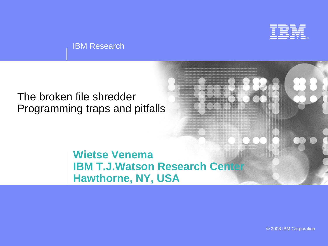

#### IBM Research

#### The broken file shredder Programming traps and pitfalls

#### **Wietse Venema IBM T.J.Watson Research Center Hawthorne, NY, USA**

© 2008 IBM Corporation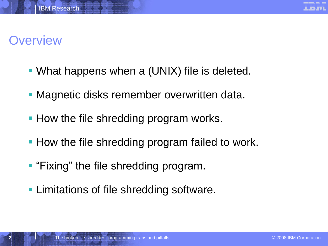

# **Overview**

- What happens when a (UNIX) file is deleted.
- **Magnetic disks remember overwritten data.**
- **How the file shredding program works.**
- **How the file shredding program failed to work.**
- **"Fixing" the file shredding program.**
- **Limitations of file shredding software.**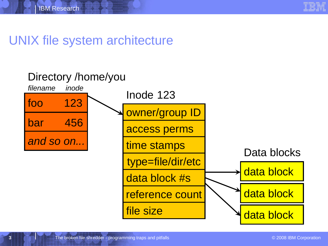

#### UNIX file system architecture

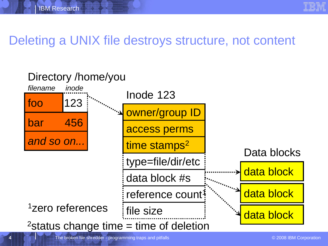# Deleting a UNIX file destroys structure, not content



**4** The broken file shredder - programming traps and pitfalls **COLL COLL COLL COLL COLL COLL COLL** CORPORATION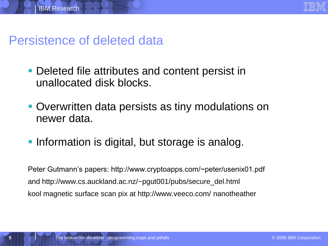

#### Persistence of deleted data

- **Deleted file attributes and content persist in** unallocated disk blocks.
- Overwritten data persists as tiny modulations on newer data.
- **Information is digital, but storage is analog.**

Peter Gutmann's papers: http://www.cryptoapps.com/~peter/usenix01.pdf and http://www.cs.auckland.ac.nz/~pgut001/pubs/secure\_del.html kool magnetic surface scan pix at http://www.veeco.com/ nanotheather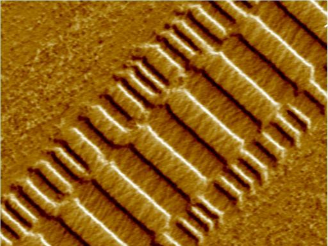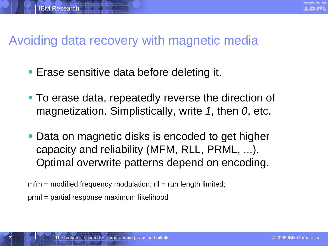# Avoiding data recovery with magnetic media

- **Erase sensitive data before deleting it.**
- To erase data, repeatedly reverse the direction of magnetization. Simplistically, write *1*, then *0*, etc.
- Data on magnetic disks is encoded to get higher capacity and reliability (MFM, RLL, PRML, ...). Optimal overwrite patterns depend on encoding.

 $m$  = modified frequency modulation;  $r = r$ un length limited;

prml = partial response maximum likelihood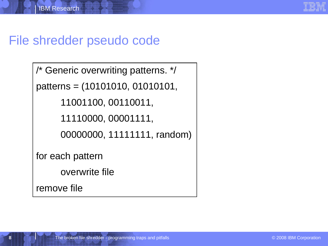

### File shredder pseudo code

/\* Generic overwriting patterns. \*/

patterns = (10101010, 01010101,

11001100, 00110011,

11110000, 00001111,

00000000, 11111111, random)

for each pattern

overwrite file

remove file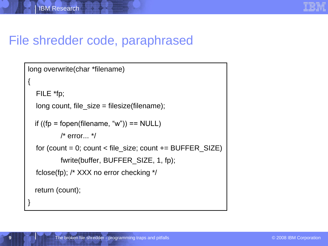## File shredder code, paraphrased

```
long overwrite(char *filename)
{
  FILE *fp;
  long count, file_size = filesize(filename);
  if ((fp = fopen(filename, "w")) == NULL)/* error... */for (count = 0; count < file_size; count += BUFFER_SIZE)
          fwrite(buffer, BUFFER_SIZE, 1, fp);
  fclose(fp); /* XXX no error checking */
  return (count);
}
```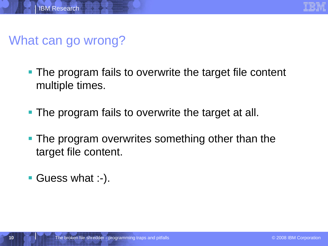

# What can go wrong?

- **The program fails to overwrite the target file content** multiple times.
- **The program fails to overwrite the target at all.**
- **The program overwrites something other than the** target file content.
- Guess what :-).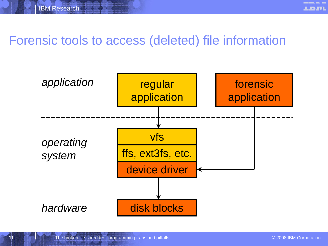

### Forensic tools to access (deleted) file information

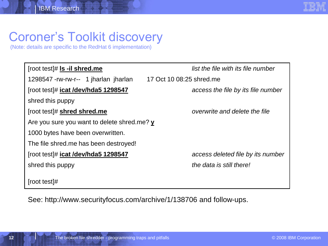# Coroner's Toolkit discovery

(Note: details are specific to the RedHat 6 implementation)

| $[root test]$ # Is -il shred.me             | list the file with its file number |
|---------------------------------------------|------------------------------------|
| 1298547-rw-rw-r-- 1 jharlan jharlan         | 17 Oct 10 08:25 shred.me           |
| [root test]# <i>icat /dev/hda5</i> 1298547  | access the file by its file number |
| shred this puppy                            |                                    |
| [root test]# shred shred.me                 | overwrite and delete the file      |
| Are you sure you want to delete shred.me? y |                                    |
| 1000 bytes have been overwritten.           |                                    |
| The file shred me has been destroyed!       |                                    |
| [root test]# icat /dev/hda5 1298547         | access deleted file by its number  |
| shred this puppy                            | the data is still there!           |
| $[root test]$ #                             |                                    |

See: http://www.securityfocus.com/archive/1/138706 and follow-ups.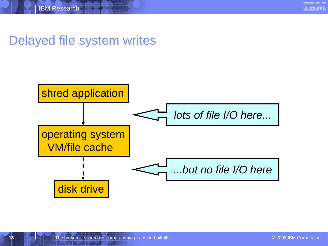

## Delayed file system writes

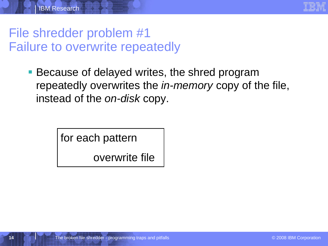

#### File shredder problem #1 Failure to overwrite repeatedly

 Because of delayed writes, the shred program repeatedly overwrites the *in-memory* copy of the file, instead of the *on-disk* copy.

for each pattern

overwrite file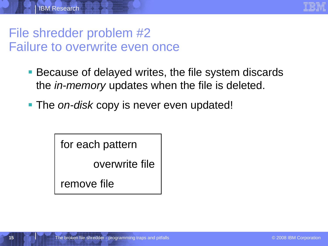### File shredder problem #2 Failure to overwrite even once

IBM Research

- Because of delayed writes, the file system discards the *in-memory* updates when the file is deleted.
- **The** *on-disk* **copy is never even updated!**

for each pattern

overwrite file

remove file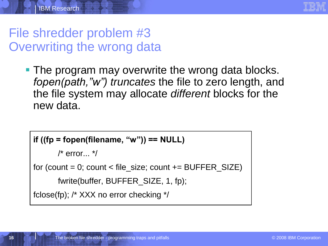

### File shredder problem #3 Overwriting the wrong data

• The program may overwrite the wrong data blocks. *fopen(path,"w") truncates* the file to zero length, and the file system may allocate *different* blocks for the new data.

```
if ((fp = fopen(filename, "w")) == NULL)
```

```
\prime^* error... \prime
```
for (count  $= 0$ ; count  $<$  file\_size; count  $+=$  BUFFER\_SIZE)

```
fwrite(buffer, BUFFER_SIZE, 1, fp);
```

```
fclose(fp); /* XXX no error checking */
```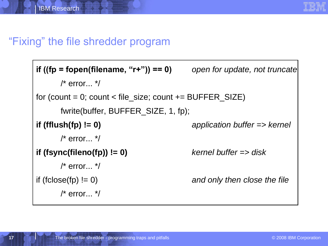#### "Fixing" the file shredder program

```
if ((fp = fopen(filename, "r+")) == 0) open for update, not truncate
      \frac{*}{*} error... \frac{*}{*}for (count = 0; count \lt file size; count += BUFFER SIZE)
      fwrite(buffer, BUFFER_SIZE, 1, fp);
if (fflush(fp) != 0) application buffer => kernel
      \frac{*}{*} error. \frac{*}{*}if (fsync(fileno(fp)) != 0) kernel buffer => disk
      \frac{*}{*} error... \frac{*}{*}if (fclose(fp) != 0) and only then close the file
      /* error... */
```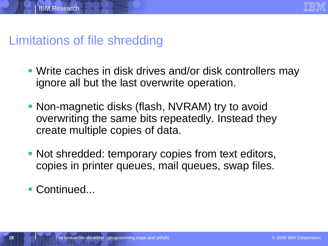

# Limitations of file shredding

- Write caches in disk drives and/or disk controllers may ignore all but the last overwrite operation.
- Non-magnetic disks (flash, NVRAM) try to avoid overwriting the same bits repeatedly. Instead they create multiple copies of data.
- Not shredded: temporary copies from text editors, copies in printer queues, mail queues, swap files.

**Continued...**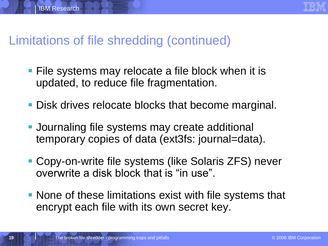# Limitations of file shredding (continued)

- **File systems may relocate a file block when it is** updated, to reduce file fragmentation.
- **Disk drives relocate blocks that become marginal.**
- Journaling file systems may create additional temporary copies of data (ext3fs: journal=data).
- Copy-on-write file systems (like Solaris ZFS) never overwrite a disk block that is "in use".
- None of these limitations exist with file systems that encrypt each file with its own secret key.